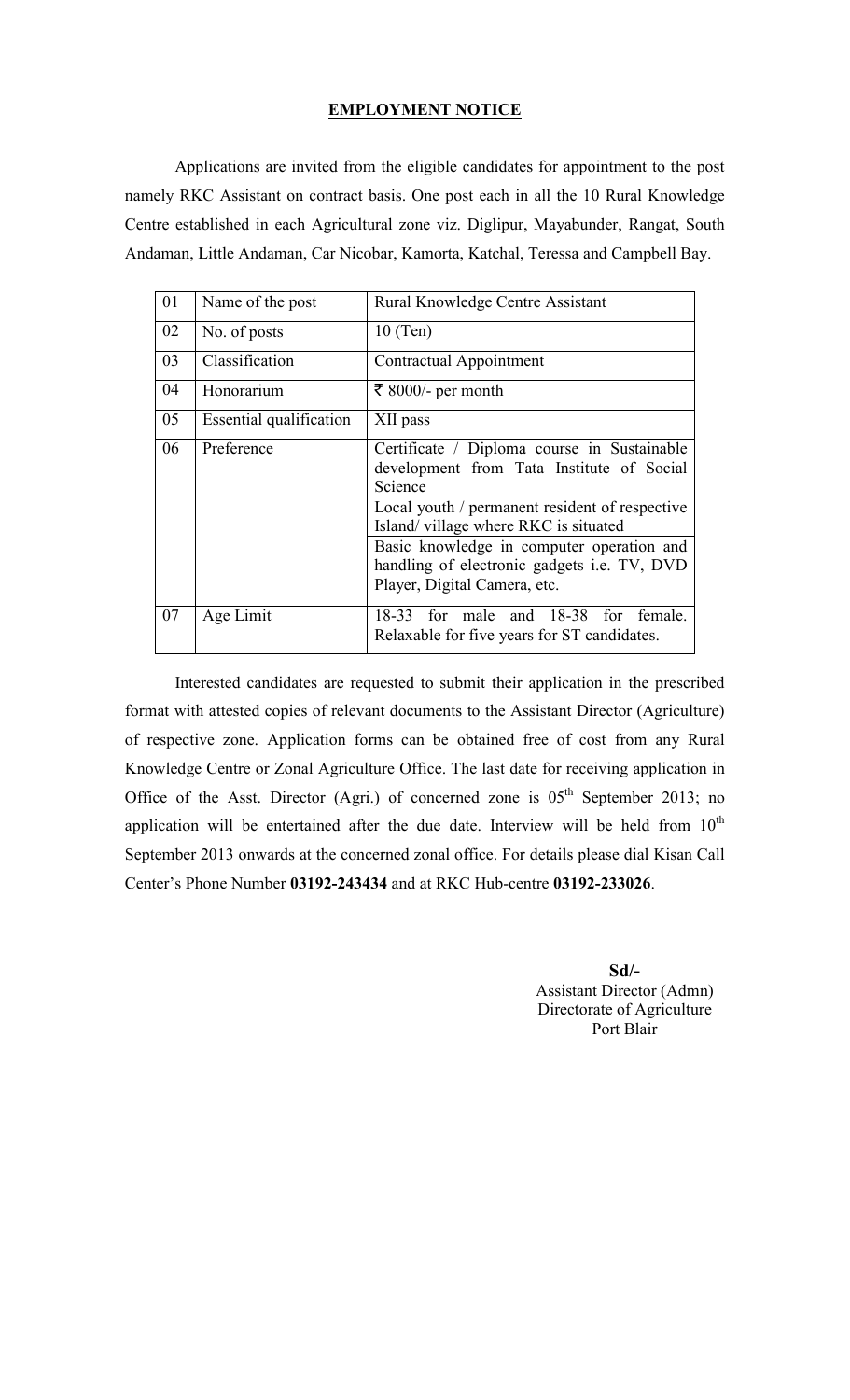## EMPLOYMENT NOTICE

 Applications are invited from the eligible candidates for appointment to the post namely RKC Assistant on contract basis. One post each in all the 10 Rural Knowledge Centre established in each Agricultural zone viz. Diglipur, Mayabunder, Rangat, South Andaman, Little Andaman, Car Nicobar, Kamorta, Katchal, Teressa and Campbell Bay.

| 01 | Name of the post        | Rural Knowledge Centre Assistant                                                                                                |
|----|-------------------------|---------------------------------------------------------------------------------------------------------------------------------|
| 02 | No. of posts            | $10$ (Ten)                                                                                                                      |
| 03 | Classification          | Contractual Appointment                                                                                                         |
| 04 | Honorarium              | ₹ 8000/- per month                                                                                                              |
| 05 | Essential qualification | XII pass                                                                                                                        |
| 06 | Preference              | Certificate / Diploma course in Sustainable<br>development from Tata Institute of Social<br>Science                             |
|    |                         | Local youth / permanent resident of respective<br>Island/village where RKC is situated                                          |
|    |                         | Basic knowledge in computer operation and<br>handling of electronic gadgets <i>i.e.</i> TV, DVD<br>Player, Digital Camera, etc. |
| 07 | Age Limit               | 18-33 for male and 18-38 for female.<br>Relaxable for five years for ST candidates.                                             |

Interested candidates are requested to submit their application in the prescribed format with attested copies of relevant documents to the Assistant Director (Agriculture) of respective zone. Application forms can be obtained free of cost from any Rural Knowledge Centre or Zonal Agriculture Office. The last date for receiving application in Office of the Asst. Director (Agri.) of concerned zone is  $0.5<sup>th</sup>$  September 2013; no application will be entertained after the due date. Interview will be held from  $10^{th}$ September 2013 onwards at the concerned zonal office. For details please dial Kisan Call Center's Phone Number 03192-243434 and at RKC Hub-centre 03192-233026.

> Sd/- Assistant Director (Admn) Directorate of Agriculture Port Blair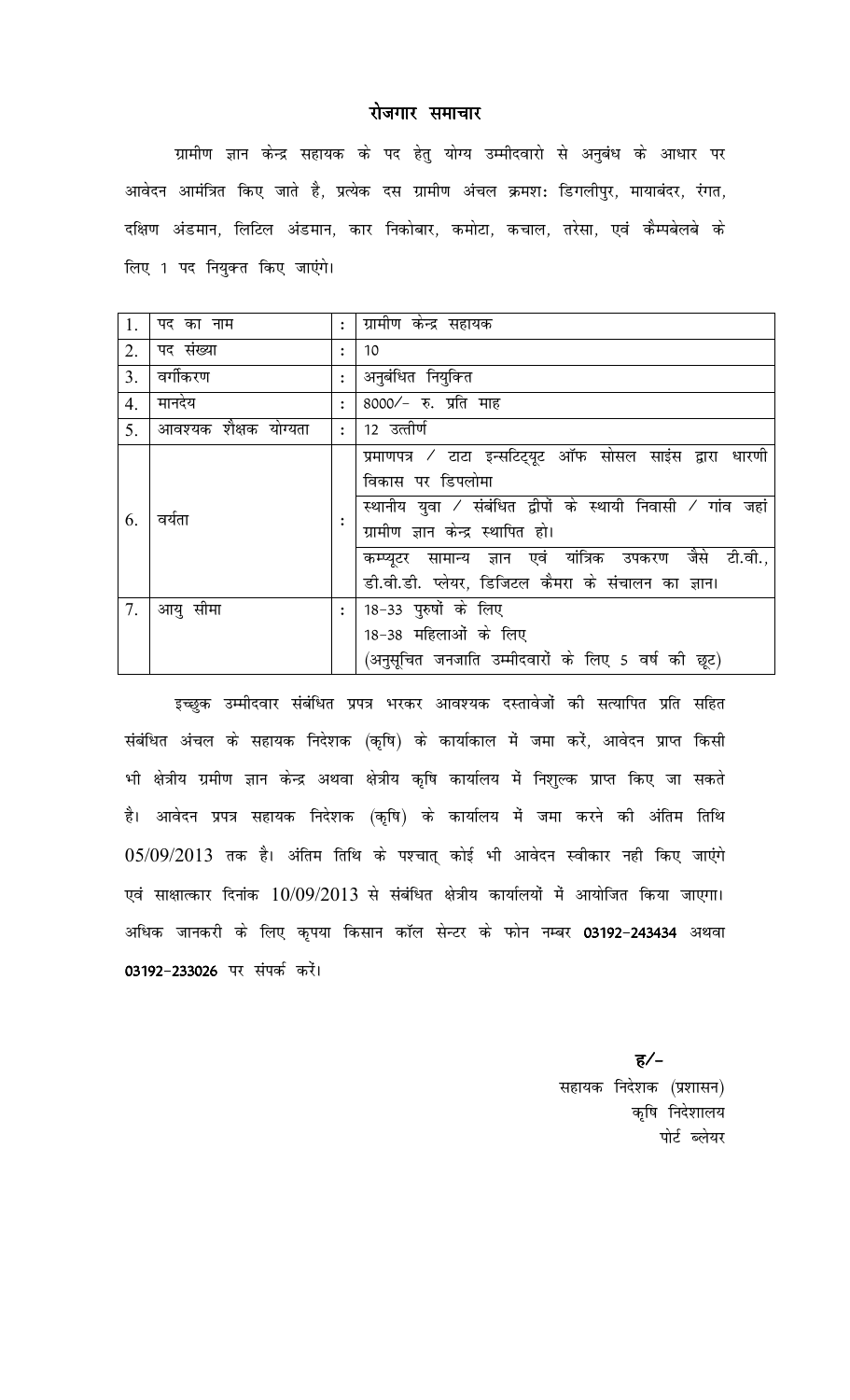## रोजगार समाचार

ग्रामीण ज्ञान केन्द्र सहायक के पद हेतु योग्य उम्मीदवारो से अनुबंध के आधार पर आवेदन आमंत्रित किए जाते है, प्रत्येक दस ग्रामीण अंचल क्रमश: डिगलीपुर, मायाबंदर, रंगत, दक्षिण अंडमान, लिटिल अंडमान, कार निकोबार, कमोटा, कचाल, तरेसा, एवं कैम्पबेलबे के लिए 1 पद नियुक्त किए जाएंगे।

| 1.               | पद का नाम             | $\ddot{\cdot}$ | ग्रामीण केन्द्र सहायक                                                                                                                                                                                                                                                                             |
|------------------|-----------------------|----------------|---------------------------------------------------------------------------------------------------------------------------------------------------------------------------------------------------------------------------------------------------------------------------------------------------|
| 2.               | पद संख्या             | $\ddot{\cdot}$ | 10                                                                                                                                                                                                                                                                                                |
| 3 <sub>1</sub>   | वर्गीकरण              | $\ddot{\cdot}$ | अनुबंधित नियुक्ति                                                                                                                                                                                                                                                                                 |
| $\overline{4}$ . | मानदेय                | $\ddot{\cdot}$ | 8000/- रु. प्रति माह                                                                                                                                                                                                                                                                              |
| 5 <sub>1</sub>   | आवश्यक शैक्षक योग्यता | $\ddot{\cdot}$ | 12 उत्तीर्ण                                                                                                                                                                                                                                                                                       |
| 6.               | वर्यता                |                | प्रमाणपत्र / टाटा इन्सटिट्यूट ऑफ सोसल साइंस द्वारा धारणी<br>विकास पर डिपलोमा<br>स्थानीय युवा / संबंधित द्वीपों के स्थायी निवासी / गांव जहां<br>ग्रामीण ज्ञान केन्द्र स्थापित हो।<br>कम्प्यूटर सामान्य ज्ञान एवं यांत्रिक उपकरण जैसे टी.वी.,<br>डी.वी.डी. प्लेयर, डिजिटल कैमरा के संचालन का ज्ञान। |
| 7.               | आयु सीमा              |                | 18−33 पुरुषों के लिए<br>18-38 महिलाओं के लिए<br>(अनुसूचित जनजाति उम्मीदवारों के लिए 5 वर्ष की छूट)                                                                                                                                                                                                |

इच्छुक उम्मीदवार संबंधित प्रपत्र भरकर आवश्यक दस्तावेजों की सत्यापित प्रति सहित संबंधित अंचल के सहायक निदेशक (कृषि) के कार्याकाल में जमा करें, आवेदन प्राप्त किसी भी क्षेत्रीय ग्रमीण ज्ञान केन्द्र अथवा क्षेत्रीय कृषि कार्यालय में निशुल्क प्राप्त किए जा सकते है। आवेदन प्रपत्र सहायक निदेशक (कृषि) के कार्यालय में जमा करने की अंतिम तिथि  $05/09/2013$  तक है। अंतिम तिथि के पश्चात् कोई भी आवेदन स्वीकार नही किए जाएंगे एवं साक्षात्कार दिनांक  $10/09/2013$  से संबंधित क्षेत्रीय कार्यालयों में आयोजित किया जाएगा। अधिक जानकरी के लिए कृपया किसान कॉल सेन्टर के फोन नम्बर 03192-243434 अथवा 03192-233026 पर संपर्क करें।

> ह $/$ सहायक निदेशक (प्रशासन) कृषि निदेशालय पोर्ट ब्लेयर